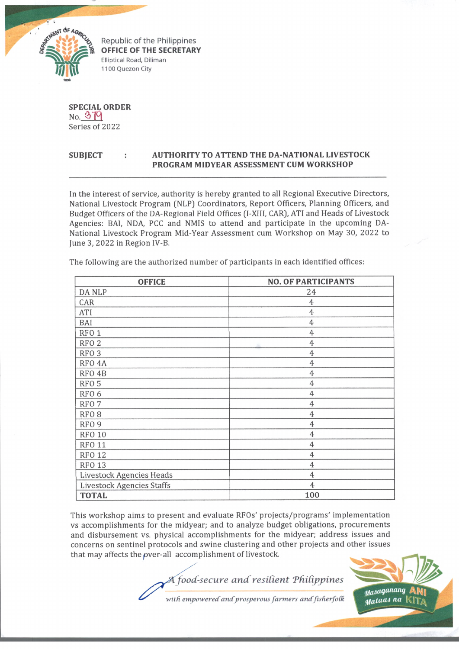

Republic of the Philippines **OFFICE OF THE SECRETARY** Elliptical Road, Diliman 1100 Quezon City

**SPECIAL ORDER No.** 379 Series of 2022

## **SUBJECT : AUTHORITY TO ATTEND THE DA-NATIONAL LIVESTOCK PROGRAM MIDYEAR ASSESSMENT CUM WORKSHOP**

In the interest of service, authority is hereby granted to all Regional Executive Directors, National Livestock Program (NLP) Coordinators, Report Officers, Planning Officers, and Budget Officers of the DA-Regional Field Offices (I-XIII, CAR), ATI and Heads of Livestock Agencies: BAI, NDA, PCC and NMIS to attend and participate in the upcoming DA-National Livestock Program Mid-Year Assessment cum Workshop on May 30, 2022 to June 3, 2022 in Region IV-B.

| <b>OFFICE</b>                   | <b>NO. OF PARTICIPANTS</b> |
|---------------------------------|----------------------------|
| DA NLP                          | 24                         |
| CAR                             | $\overline{4}$             |
| ATI                             | $\overline{4}$             |
| BAI                             | $\overline{4}$             |
| RFO <sub>1</sub>                | 4                          |
| RFO <sub>2</sub>                | 4                          |
| RFO <sub>3</sub>                | 4                          |
| RFO <sub>4</sub> A              | 4                          |
| RFO <sub>4</sub> B              | 4                          |
| RFO <sub>5</sub>                | $\overline{4}$             |
| RFO <sub>6</sub>                | $\overline{4}$             |
| RFO <sub>7</sub>                | 4                          |
| RFO <sub>8</sub>                | $\overline{4}$             |
| RFO <sub>9</sub>                | 4                          |
| <b>RFO 10</b>                   | $\overline{4}$             |
| <b>RFO 11</b>                   | $\overline{4}$             |
| <b>RFO 12</b>                   | $\overline{4}$             |
| <b>RFO 13</b>                   | 4                          |
| <b>Livestock Agencies Heads</b> | $\overline{4}$             |
| Livestock Agencies Staffs       | 4                          |
| <b>TOTAL</b>                    | 100                        |

The following are the authorized number of participants in each identified offices:

This workshop aims to present and evaluate RFOs' projects/programs' implementation vs accomplishments for the midyear; and to analyze budget obligations, procurements and disbursement vs. physical accomplishments for the midyear; address issues and concerns on sentinel protocols and swine clustering and other projects and other issues that may affects the over-all accomplishment of livestock.





with empowered and prosperous farmers and fisherfolk